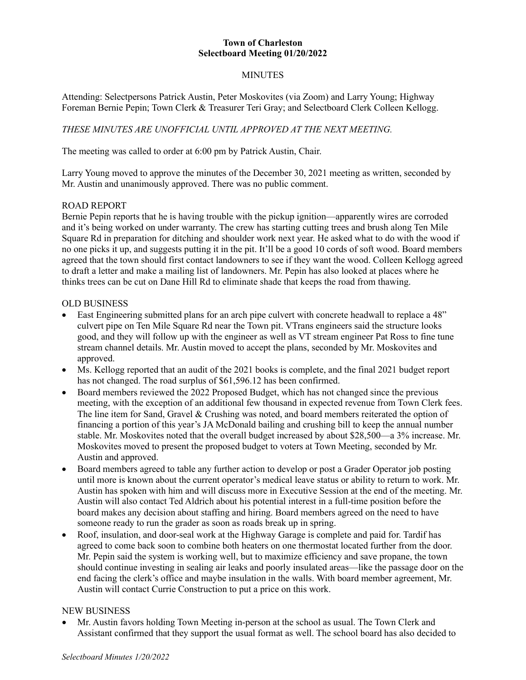## **Town of Charleston Selectboard Meeting 01/20/2022**

## MINUTES

Attending: Selectpersons Patrick Austin, Peter Moskovites (via Zoom) and Larry Young; Highway Foreman Bernie Pepin; Town Clerk & Treasurer Teri Gray; and Selectboard Clerk Colleen Kellogg.

## *THESE MINUTES ARE UNOFFICIAL UNTIL APPROVED AT THE NEXT MEETING.*

The meeting was called to order at 6:00 pm by Patrick Austin, Chair.

Larry Young moved to approve the minutes of the December 30, 2021 meeting as written, seconded by Mr. Austin and unanimously approved. There was no public comment.

#### ROAD REPORT

Bernie Pepin reports that he is having trouble with the pickup ignition—apparently wires are corroded and it's being worked on under warranty. The crew has starting cutting trees and brush along Ten Mile Square Rd in preparation for ditching and shoulder work next year. He asked what to do with the wood if no one picks it up, and suggests putting it in the pit. It'll be a good 10 cords of soft wood. Board members agreed that the town should first contact landowners to see if they want the wood. Colleen Kellogg agreed to draft a letter and make a mailing list of landowners. Mr. Pepin has also looked at places where he thinks trees can be cut on Dane Hill Rd to eliminate shade that keeps the road from thawing.

#### OLD BUSINESS

- East Engineering submitted plans for an arch pipe culvert with concrete headwall to replace a 48" culvert pipe on Ten Mile Square Rd near the Town pit. VTrans engineers said the structure looks good, and they will follow up with the engineer as well as VT stream engineer Pat Ross to fine tune stream channel details. Mr. Austin moved to accept the plans, seconded by Mr. Moskovites and approved.
- Ms. Kellogg reported that an audit of the 2021 books is complete, and the final 2021 budget report has not changed. The road surplus of \$61,596.12 has been confirmed.
- Board members reviewed the 2022 Proposed Budget, which has not changed since the previous meeting, with the exception of an additional few thousand in expected revenue from Town Clerk fees. The line item for Sand, Gravel & Crushing was noted, and board members reiterated the option of financing a portion of this year's JA McDonald bailing and crushing bill to keep the annual number stable. Mr. Moskovites noted that the overall budget increased by about \$28,500—a 3% increase. Mr. Moskovites moved to present the proposed budget to voters at Town Meeting, seconded by Mr. Austin and approved.
- Board members agreed to table any further action to develop or post a Grader Operator job posting until more is known about the current operator's medical leave status or ability to return to work. Mr. Austin has spoken with him and will discuss more in Executive Session at the end of the meeting. Mr. Austin will also contact Ted Aldrich about his potential interest in a full-time position before the board makes any decision about staffing and hiring. Board members agreed on the need to have someone ready to run the grader as soon as roads break up in spring.
- Roof, insulation, and door-seal work at the Highway Garage is complete and paid for. Tardif has agreed to come back soon to combine both heaters on one thermostat located further from the door. Mr. Pepin said the system is working well, but to maximize efficiency and save propane, the town should continue investing in sealing air leaks and poorly insulated areas—like the passage door on the end facing the clerk's office and maybe insulation in the walls. With board member agreement, Mr. Austin will contact Currie Construction to put a price on this work.

#### NEW BUSINESS

• Mr. Austin favors holding Town Meeting in-person at the school as usual. The Town Clerk and Assistant confirmed that they support the usual format as well. The school board has also decided to